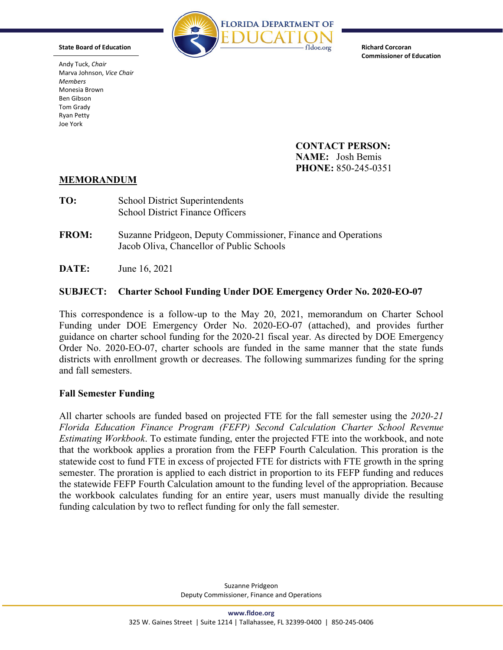

**Richard Corcoran Commissioner of Education**

**CONTACT PERSON: NAME:** Josh Bemis **PHONE:** 850-245-0351

## **MEMORANDUM**

- **TO:** School District Superintendents School District Finance Officers
- **FROM:** Suzanne Pridgeon, Deputy Commissioner, Finance and Operations Jacob Oliva, Chancellor of Public Schools
- **DATE:** June 16, 2021

## **SUBJECT: Charter School Funding Under DOE Emergency Order No. 2020-EO-07**

This correspondence is a follow-up to the May 20, 2021, memorandum on Charter School Funding under DOE Emergency Order No. 2020-EO-07 (attached), and provides further guidance on charter school funding for the 2020-21 fiscal year. As directed by DOE Emergency Order No. 2020-EO-07, charter schools are funded in the same manner that the state funds districts with enrollment growth or decreases. The following summarizes funding for the spring and fall semesters.

## **Fall Semester Funding**

All charter schools are funded based on projected FTE for the fall semester using the *2020-21 Florida Education Finance Program (FEFP) Second Calculation Charter School Revenue Estimating Workbook*. To estimate funding, enter the projected FTE into the workbook, and note that the workbook applies a proration from the FEFP Fourth Calculation. This proration is the statewide cost to fund FTE in excess of projected FTE for districts with FTE growth in the spring semester. The proration is applied to each district in proportion to its FEFP funding and reduces the statewide FEFP Fourth Calculation amount to the funding level of the appropriation. Because the workbook calculates funding for an entire year, users must manually divide the resulting funding calculation by two to reflect funding for only the fall semester.



**State Board of Education**